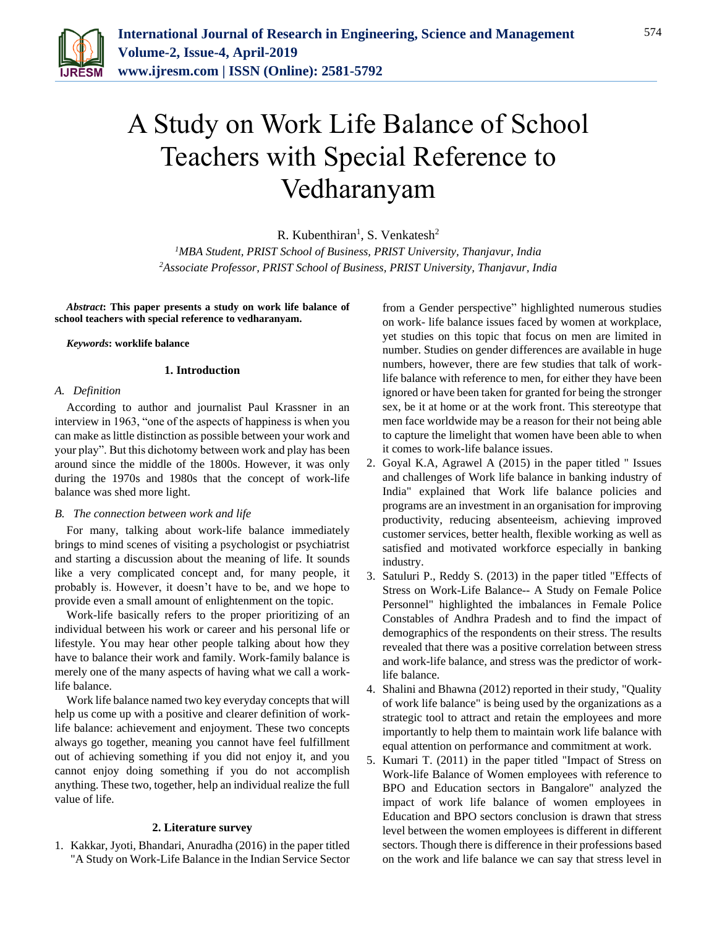

# A Study on Work Life Balance of School Teachers with Special Reference to Vedharanyam

R. Kubenthiran<sup>1</sup>, S. Venkatesh<sup>2</sup>

*<sup>1</sup>MBA Student, PRIST School of Business, PRIST University, Thanjavur, India 2Associate Professor, PRIST School of Business, PRIST University, Thanjavur, India*

*Abstract***: This paper presents a study on work life balance of school teachers with special reference to vedharanyam.**

#### *Keywords***: worklife balance**

#### **1. Introduction**

#### *A. Definition*

According to author and journalist Paul Krassner in an interview in 1963, "one of the aspects of happiness is when you can make as little distinction as possible between your work and your play". But this dichotomy between work and play has been around since the middle of the 1800s. However, it was only during the 1970s and 1980s that the concept of work-life balance was shed more light.

## *B. The connection between work and life*

For many, talking about work-life balance immediately brings to mind scenes of visiting a psychologist or psychiatrist and starting a discussion about the meaning of life. It sounds like a very complicated concept and, for many people, it probably is. However, it doesn't have to be, and we hope to provide even a small amount of enlightenment on the topic.

Work-life basically refers to the proper prioritizing of an individual between his work or career and his personal life or lifestyle. You may hear other people talking about how they have to balance their work and family. Work-family balance is merely one of the many aspects of having what we call a worklife balance.

Work life balance named two key everyday concepts that will help us come up with a positive and clearer definition of worklife balance: achievement and enjoyment. These two concepts always go together, meaning you cannot have feel fulfillment out of achieving something if you did not enjoy it, and you cannot enjoy doing something if you do not accomplish anything. These two, together, help an individual realize the full value of life.

### **2. Literature survey**

1. Kakkar, Jyoti, Bhandari, Anuradha (2016) in the paper titled "A Study on Work-Life Balance in the Indian Service Sector from a Gender perspective" highlighted numerous studies on work- life balance issues faced by women at workplace, yet studies on this topic that focus on men are limited in number. Studies on gender differences are available in huge numbers, however, there are few studies that talk of worklife balance with reference to men, for either they have been ignored or have been taken for granted for being the stronger sex, be it at home or at the work front. This stereotype that men face worldwide may be a reason for their not being able to capture the limelight that women have been able to when it comes to work-life balance issues.

- 2. Goyal K.A, Agrawel A (2015) in the paper titled " Issues and challenges of Work life balance in banking industry of India" explained that Work life balance policies and programs are an investment in an organisation for improving productivity, reducing absenteeism, achieving improved customer services, better health, flexible working as well as satisfied and motivated workforce especially in banking industry.
- 3. Satuluri P., Reddy S. (2013) in the paper titled "Effects of Stress on Work-Life Balance-- A Study on Female Police Personnel" highlighted the imbalances in Female Police Constables of Andhra Pradesh and to find the impact of demographics of the respondents on their stress. The results revealed that there was a positive correlation between stress and work-life balance, and stress was the predictor of worklife balance.
- 4. Shalini and Bhawna (2012) reported in their study, "Quality of work life balance" is being used by the organizations as a strategic tool to attract and retain the employees and more importantly to help them to maintain work life balance with equal attention on performance and commitment at work.
- 5. Kumari T. (2011) in the paper titled "Impact of Stress on Work-life Balance of Women employees with reference to BPO and Education sectors in Bangalore" analyzed the impact of work life balance of women employees in Education and BPO sectors conclusion is drawn that stress level between the women employees is different in different sectors. Though there is difference in their professions based on the work and life balance we can say that stress level in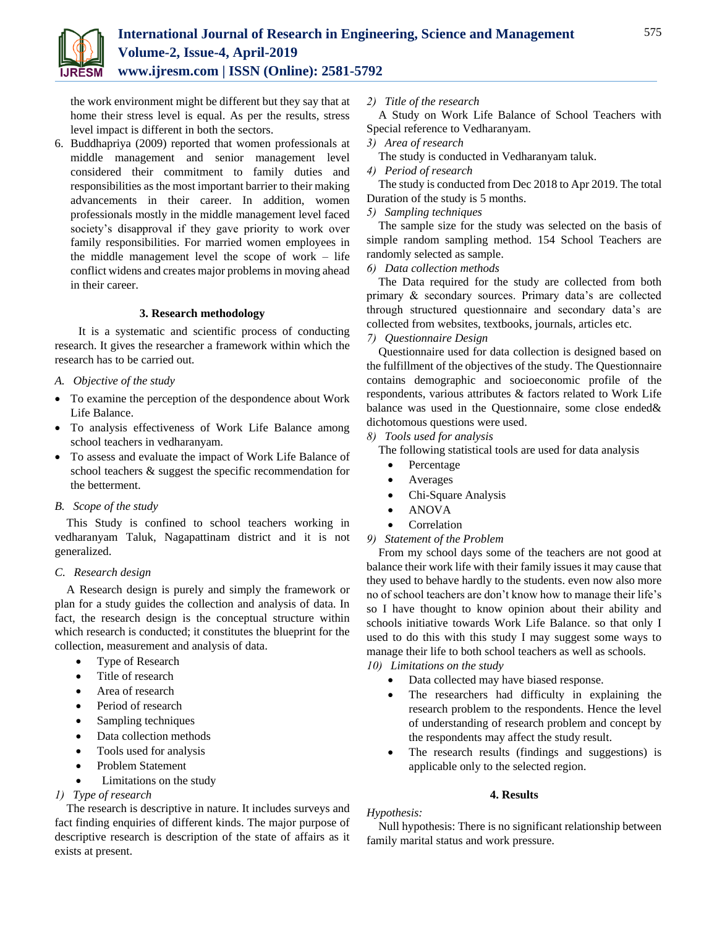

the work environment might be different but they say that at home their stress level is equal. As per the results, stress level impact is different in both the sectors.

6. Buddhapriya (2009) reported that women professionals at middle management and senior management level considered their commitment to family duties and responsibilities as the most important barrier to their making advancements in their career. In addition, women professionals mostly in the middle management level faced society's disapproval if they gave priority to work over family responsibilities. For married women employees in the middle management level the scope of work – life conflict widens and creates major problems in moving ahead in their career.

## **3. Research methodology**

It is a systematic and scientific process of conducting research. It gives the researcher a framework within which the research has to be carried out.

- *A. Objective of the study*
- To examine the perception of the despondence about Work Life Balance.
- To analysis effectiveness of Work Life Balance among school teachers in vedharanyam.
- To assess and evaluate the impact of Work Life Balance of school teachers & suggest the specific recommendation for the betterment.

## *B. Scope of the study*

This Study is confined to school teachers working in vedharanyam Taluk, Nagapattinam district and it is not generalized.

## *C. Research design*

A Research design is purely and simply the framework or plan for a study guides the collection and analysis of data. In fact, the research design is the conceptual structure within which research is conducted; it constitutes the blueprint for the collection, measurement and analysis of data.

- Type of Research
- Title of research
- Area of research
- Period of research
- Sampling techniques
- Data collection methods
- Tools used for analysis
- Problem Statement
- Limitations on the study

# *1) Type of research*

The research is descriptive in nature. It includes surveys and fact finding enquiries of different kinds. The major purpose of descriptive research is description of the state of affairs as it exists at present.

*2) Title of the research*

A Study on Work Life Balance of School Teachers with Special reference to Vedharanyam.

- *3) Area of research*
- The study is conducted in Vedharanyam taluk.
- *4) Period of research*

The study is conducted from Dec 2018 to Apr 2019. The total Duration of the study is 5 months.

*5) Sampling techniques*

The sample size for the study was selected on the basis of simple random sampling method. 154 School Teachers are randomly selected as sample.

*6) Data collection methods*

The Data required for the study are collected from both primary & secondary sources. Primary data's are collected through structured questionnaire and secondary data's are collected from websites, textbooks, journals, articles etc.

*7) Questionnaire Design*

Questionnaire used for data collection is designed based on the fulfillment of the objectives of the study. The Questionnaire contains demographic and socioeconomic profile of the respondents, various attributes & factors related to Work Life balance was used in the Questionnaire, some close ended& dichotomous questions were used.

*8) Tools used for analysis*

The following statistical tools are used for data analysis

- Percentage
- Averages
- Chi-Square Analysis
- ANOVA
- Correlation
- *9) Statement of the Problem*

From my school days some of the teachers are not good at balance their work life with their family issues it may cause that they used to behave hardly to the students. even now also more no of school teachers are don't know how to manage their life's so I have thought to know opinion about their ability and schools initiative towards Work Life Balance. so that only I used to do this with this study I may suggest some ways to manage their life to both school teachers as well as schools.

- *10) Limitations on the study*
	- Data collected may have biased response.
	- The researchers had difficulty in explaining the research problem to the respondents. Hence the level of understanding of research problem and concept by the respondents may affect the study result.
	- The research results (findings and suggestions) is applicable only to the selected region.

# **4. Results**

# *Hypothesis:*

Null hypothesis: There is no significant relationship between family marital status and work pressure.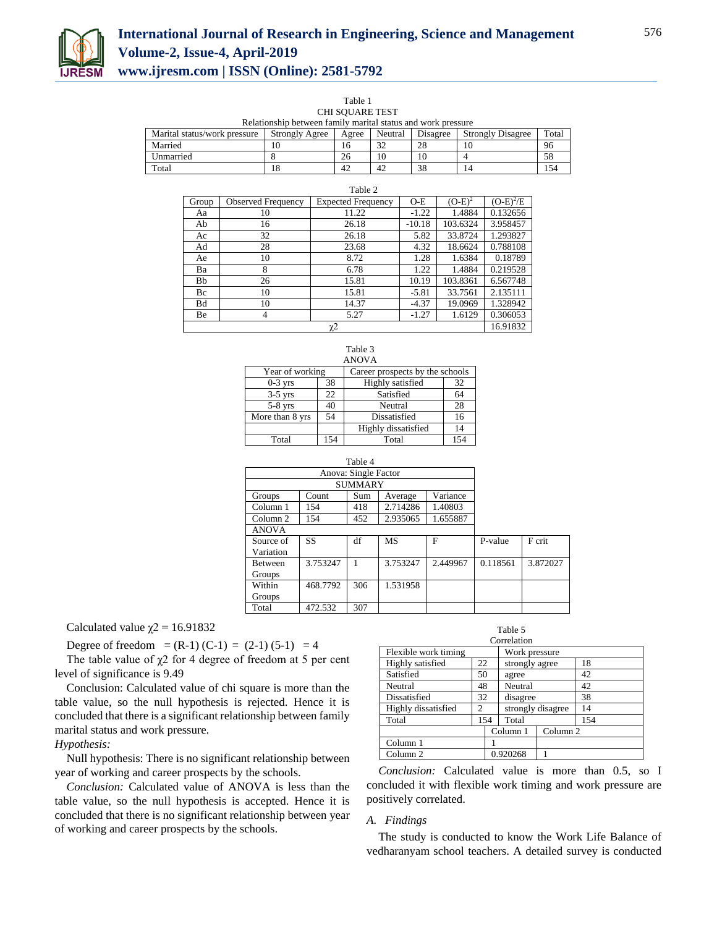

| Table 1                                                      |
|--------------------------------------------------------------|
| CHI SOUARE TEST                                              |
| Relationship between family marital status and work pressure |

| Marital status/work pressure | <b>Strongly Agree</b> | Agree | Neutral              | Disagree | <b>Strongly Disagree</b> | Total |
|------------------------------|-----------------------|-------|----------------------|----------|--------------------------|-------|
| Married                      |                       | 10    | $\mathcal{D}$<br>ے د | 28       | 10                       | 96    |
| Unmarried                    |                       | 26    | 10                   | 10       |                          |       |
| Total                        | 18                    | 42    | 42                   | 38       |                          | 154   |

| Table 2 |                           |                                                 |          |          |             |  |
|---------|---------------------------|-------------------------------------------------|----------|----------|-------------|--|
| Group   | <b>Observed Frequency</b> | $(O-E)^2$<br><b>Expected Frequency</b><br>$O-E$ |          |          | $(O-E)^2/E$ |  |
| Aa      | 10                        | 11.22                                           | $-1.22$  | 1.4884   | 0.132656    |  |
| Ab      | 16                        | 26.18                                           | $-10.18$ | 103.6324 | 3.958457    |  |
| Ac      | 32                        | 26.18                                           | 5.82     | 33.8724  | 1.293827    |  |
| Ad      | 28                        | 23.68                                           | 4.32     | 18.6624  | 0.788108    |  |
| Ae      | 10                        | 8.72                                            | 1.28     | 1.6384   | 0.18789     |  |
| Ba      | 8                         | 6.78                                            | 1.22     | 1.4884   | 0.219528    |  |
| Bb      | 26                        | 15.81                                           | 10.19    | 103.8361 | 6.567748    |  |
| Bc      | 10                        | 15.81                                           | $-5.81$  | 33.7561  | 2.135111    |  |
| Bd      | 10                        | 14.37                                           | $-4.37$  | 19.0969  | 1.328942    |  |
| Be      | $\overline{4}$            | 5.27                                            | $-1.27$  | 1.6129   | 0.306053    |  |
| χ2      |                           |                                                 |          |          |             |  |

| Table 3<br><b>ANOVA</b>                            |     |                     |     |  |  |  |  |
|----------------------------------------------------|-----|---------------------|-----|--|--|--|--|
| Year of working<br>Career prospects by the schools |     |                     |     |  |  |  |  |
| $0-3$ yrs                                          | 38  | Highly satisfied    | 32  |  |  |  |  |
| $3-5$ yrs                                          | 22  | Satisfied<br>64     |     |  |  |  |  |
| $5-8$ yrs                                          | 40  | 28<br>Neutral       |     |  |  |  |  |
| More than 8 yrs                                    | 54  | Dissatisfied        | 16  |  |  |  |  |
|                                                    |     | Highly dissatisfied | 14  |  |  |  |  |
| Total                                              | 154 | Total               | 154 |  |  |  |  |

|                |          | Table 4              |           |          |          |          |
|----------------|----------|----------------------|-----------|----------|----------|----------|
|                |          | Anova: Single Factor |           |          |          |          |
|                |          | <b>SUMMARY</b>       |           |          |          |          |
| Groups         | Count    | Sum                  | Average   | Variance |          |          |
| Column 1       | 154      | 418                  | 2.714286  | 1.40803  |          |          |
| Column 2       | 154      | 452                  | 2.935065  | 1.655887 |          |          |
| <b>ANOVA</b>   |          |                      |           |          |          |          |
| Source of      | SS       | df                   | <b>MS</b> | F        | P-value  | F crit   |
| Variation      |          |                      |           |          |          |          |
| <b>Between</b> | 3.753247 | 1                    | 3.753247  | 2.449967 | 0.118561 | 3.872027 |
| Groups         |          |                      |           |          |          |          |
| Within         | 468.7792 | 306                  | 1.531958  |          |          |          |
| Groups         |          |                      |           |          |          |          |
| Total          | 472.532  | 307                  |           |          |          |          |

Calculated value  $\chi$ <sup>2</sup> = 16.91832

Degree of freedom =  $(R-1)$   $(C-1)$  =  $(2-1)$   $(5-1)$  = 4

The table value of  $\chi$ 2 for 4 degree of freedom at 5 per cent level of significance is 9.49

Conclusion: Calculated value of chi square is more than the table value, so the null hypothesis is rejected. Hence it is concluded that there is a significant relationship between family marital status and work pressure.

# *Hypothesis:*

Null hypothesis: There is no significant relationship between year of working and career prospects by the schools.

*Conclusion:* Calculated value of ANOVA is less than the table value, so the null hypothesis is accepted. Hence it is concluded that there is no significant relationship between year of working and career prospects by the schools.

| Correlation          |    |                      |               |                     |     |  |  |
|----------------------|----|----------------------|---------------|---------------------|-----|--|--|
| Flexible work timing |    |                      | Work pressure |                     |     |  |  |
| Highly satisfied     |    | 22<br>strongly agree |               |                     | 18  |  |  |
| Satisfied            | 50 | agree                |               |                     | 42  |  |  |
| Neutral              |    | 48<br>Neutral        |               |                     | 42  |  |  |
| Dissatisfied         | 32 |                      | disagree      |                     | 38  |  |  |
| Highly dissatisfied  | 2  |                      |               | strongly disagree   | 14  |  |  |
| Total                |    | 154                  | Total         |                     | 154 |  |  |
|                      |    |                      | Column 1      | Column <sub>2</sub> |     |  |  |
| Column 1             |    |                      |               |                     |     |  |  |
| Column 2             |    |                      | 0.920268      |                     |     |  |  |

Table 5

*Conclusion:* Calculated value is more than 0.5, so I concluded it with flexible work timing and work pressure are positively correlated.

#### *A. Findings*

The study is conducted to know the Work Life Balance of vedharanyam school teachers. A detailed survey is conducted